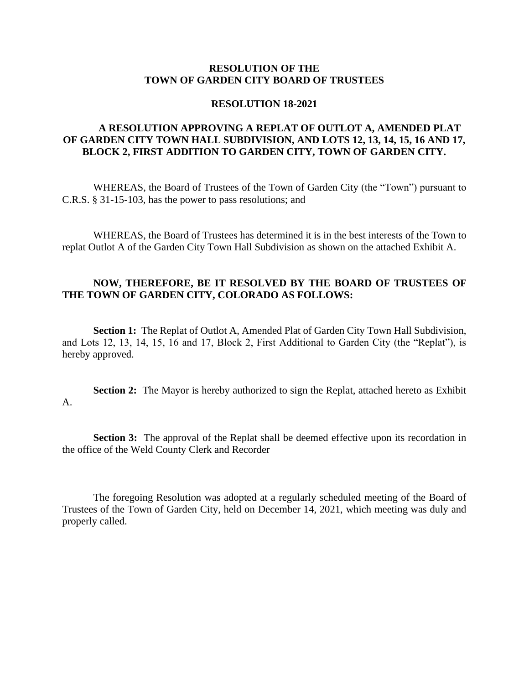### **RESOLUTION OF THE TOWN OF GARDEN CITY BOARD OF TRUSTEES**

#### **RESOLUTION 18-2021**

# **A RESOLUTION APPROVING A REPLAT OF OUTLOT A, AMENDED PLAT OF GARDEN CITY TOWN HALL SUBDIVISION, AND LOTS 12, 13, 14, 15, 16 AND 17, BLOCK 2, FIRST ADDITION TO GARDEN CITY, TOWN OF GARDEN CITY.**

WHEREAS, the Board of Trustees of the Town of Garden City (the "Town") pursuant to C.R.S. § 31-15-103, has the power to pass resolutions; and

WHEREAS, the Board of Trustees has determined it is in the best interests of the Town to replat Outlot A of the Garden City Town Hall Subdivision as shown on the attached Exhibit A.

## **NOW, THEREFORE, BE IT RESOLVED BY THE BOARD OF TRUSTEES OF THE TOWN OF GARDEN CITY, COLORADO AS FOLLOWS:**

**Section 1:** The Replat of Outlot A, Amended Plat of Garden City Town Hall Subdivision, and Lots 12, 13, 14, 15, 16 and 17, Block 2, First Additional to Garden City (the "Replat"), is hereby approved.

**Section 2:** The Mayor is hereby authorized to sign the Replat, attached hereto as Exhibit A.

**Section 3:** The approval of the Replat shall be deemed effective upon its recordation in the office of the Weld County Clerk and Recorder

The foregoing Resolution was adopted at a regularly scheduled meeting of the Board of Trustees of the Town of Garden City, held on December 14, 2021, which meeting was duly and properly called.